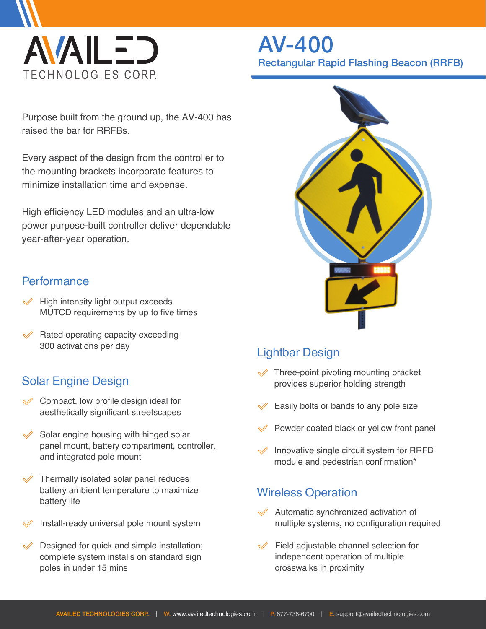

# AV-400 Rectangular Rapid Flashing Beacon (RRFB)

Purpose built from the ground up, the AV-400 has raised the bar for RRFBs.

Every aspect of the design from the controller to the mounting brackets incorporate features to minimize installation time and expense.

High efficiency LED modules and an ultra-low power purpose-built controller deliver dependable year-after-year operation.

### **Performance**

- $\mathcal Y$  High intensity light output exceeds MUTCD requirements by up to five times
- $\mathcal$  Rated operating capacity exceeding 300 activations per day

## Solar Engine Design

- $\mathcal Q$  Compact, low profile design ideal for aesthetically significant streetscapes
- Solar engine housing with hinged solar  $\mathscr A$ panel mount, battery compartment, controller, and integrated pole mount
- Thermally isolated solar panel reduces battery ambient temperature to maximize battery life
- Install-ready universal pole mount system
- Designed for quick and simple installation; complete system installs on standard sign poles in under 15 mins



## Lightbar Design

- $\mathcal Y$  Three-point pivoting mounting bracket provides superior holding strength
- Easily bolts or bands to any pole size
- Powder coated black or yellow front panel
- $\mathcal$  Innovative single circuit system for RRFB module and pedestrian confirmation\*

### Wireless Operation

- $\mathcal A$  Automatic synchronized activation of multiple systems, no configuration required
- $\mathcal P$  Field adjustable channel selection for independent operation of multiple crosswalks in proximity